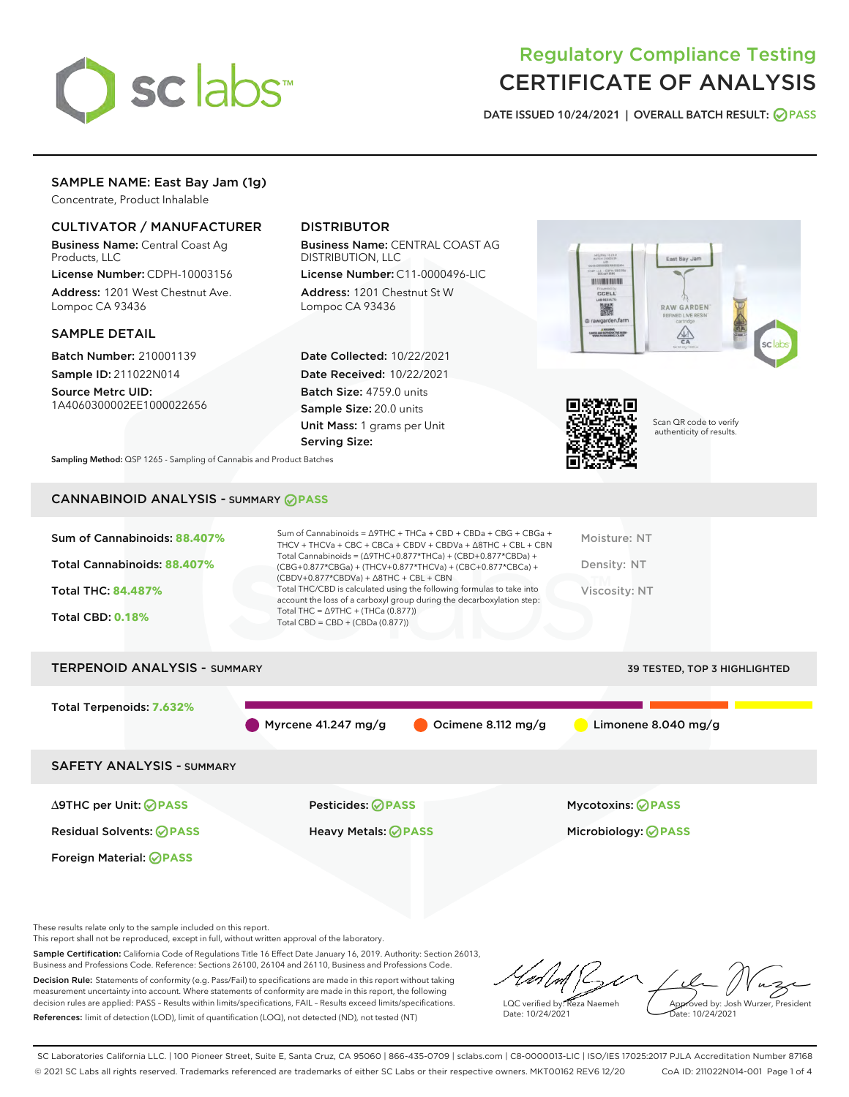

# Regulatory Compliance Testing CERTIFICATE OF ANALYSIS

DATE ISSUED 10/24/2021 | OVERALL BATCH RESULT: @ PASS

# SAMPLE NAME: East Bay Jam (1g)

Concentrate, Product Inhalable

# CULTIVATOR / MANUFACTURER

Business Name: Central Coast Ag Products, LLC

License Number: CDPH-10003156 Address: 1201 West Chestnut Ave. Lompoc CA 93436

#### SAMPLE DETAIL

Batch Number: 210001139 Sample ID: 211022N014

Source Metrc UID: 1A4060300002EE1000022656

# DISTRIBUTOR

Business Name: CENTRAL COAST AG DISTRIBUTION, LLC

License Number: C11-0000496-LIC Address: 1201 Chestnut St W Lompoc CA 93436

Date Collected: 10/22/2021 Date Received: 10/22/2021 Batch Size: 4759.0 units Sample Size: 20.0 units Unit Mass: 1 grams per Unit Serving Size:





Scan QR code to verify authenticity of results.

Sampling Method: QSP 1265 - Sampling of Cannabis and Product Batches

# CANNABINOID ANALYSIS - SUMMARY **PASS**

| Sum of Cannabinoids: 88.407% | Sum of Cannabinoids = ∆9THC + THCa + CBD + CBDa + CBG + CBGa +<br>THCV + THCVa + CBC + CBCa + CBDV + CBDVa + $\Delta$ 8THC + CBL + CBN                                               | Moisture: NT  |
|------------------------------|--------------------------------------------------------------------------------------------------------------------------------------------------------------------------------------|---------------|
| Total Cannabinoids: 88.407%  | Total Cannabinoids = $(\Delta$ 9THC+0.877*THCa) + (CBD+0.877*CBDa) +<br>(CBG+0.877*CBGa) + (THCV+0.877*THCVa) + (CBC+0.877*CBCa) +<br>$(CBDV+0.877*CBDVa) + \Delta 8THC + CBL + CBN$ | Density: NT   |
| <b>Total THC: 84.487%</b>    | Total THC/CBD is calculated using the following formulas to take into<br>account the loss of a carboxyl group during the decarboxylation step:                                       | Viscosity: NT |
| <b>Total CBD: 0.18%</b>      | Total THC = $\triangle$ 9THC + (THCa (0.877))<br>Total CBD = $CBD + (CBDa (0.877))$                                                                                                  |               |
|                              |                                                                                                                                                                                      |               |

# TERPENOID ANALYSIS - SUMMARY 39 TESTED, TOP 3 HIGHLIGHTED Total Terpenoids: **7.632%** Myrcene 41.247 mg/g  $\bigcirc$  Ocimene 8.112 mg/g  $\bigcirc$  Limonene 8.040 mg/g SAFETY ANALYSIS - SUMMARY ∆9THC per Unit: **PASS** Pesticides: **PASS** Mycotoxins: **PASS**

Residual Solvents: **PASS** Heavy Metals: **PASS** Microbiology: **PASS**

Foreign Material: **PASS**

These results relate only to the sample included on this report.

This report shall not be reproduced, except in full, without written approval of the laboratory.

Sample Certification: California Code of Regulations Title 16 Effect Date January 16, 2019. Authority: Section 26013, Business and Professions Code. Reference: Sections 26100, 26104 and 26110, Business and Professions Code. Decision Rule: Statements of conformity (e.g. Pass/Fail) to specifications are made in this report without taking measurement uncertainty into account. Where statements of conformity are made in this report, the following

decision rules are applied: PASS – Results within limits/specifications, FAIL – Results exceed limits/specifications. References: limit of detection (LOD), limit of quantification (LOQ), not detected (ND), not tested (NT)

LQC verified by: Reza Naemeh Date: 10/24/2021 Approved by: Josh Wurzer, President Date: 10/24/2021

SC Laboratories California LLC. | 100 Pioneer Street, Suite E, Santa Cruz, CA 95060 | 866-435-0709 | sclabs.com | C8-0000013-LIC | ISO/IES 17025:2017 PJLA Accreditation Number 87168 © 2021 SC Labs all rights reserved. Trademarks referenced are trademarks of either SC Labs or their respective owners. MKT00162 REV6 12/20 CoA ID: 211022N014-001 Page 1 of 4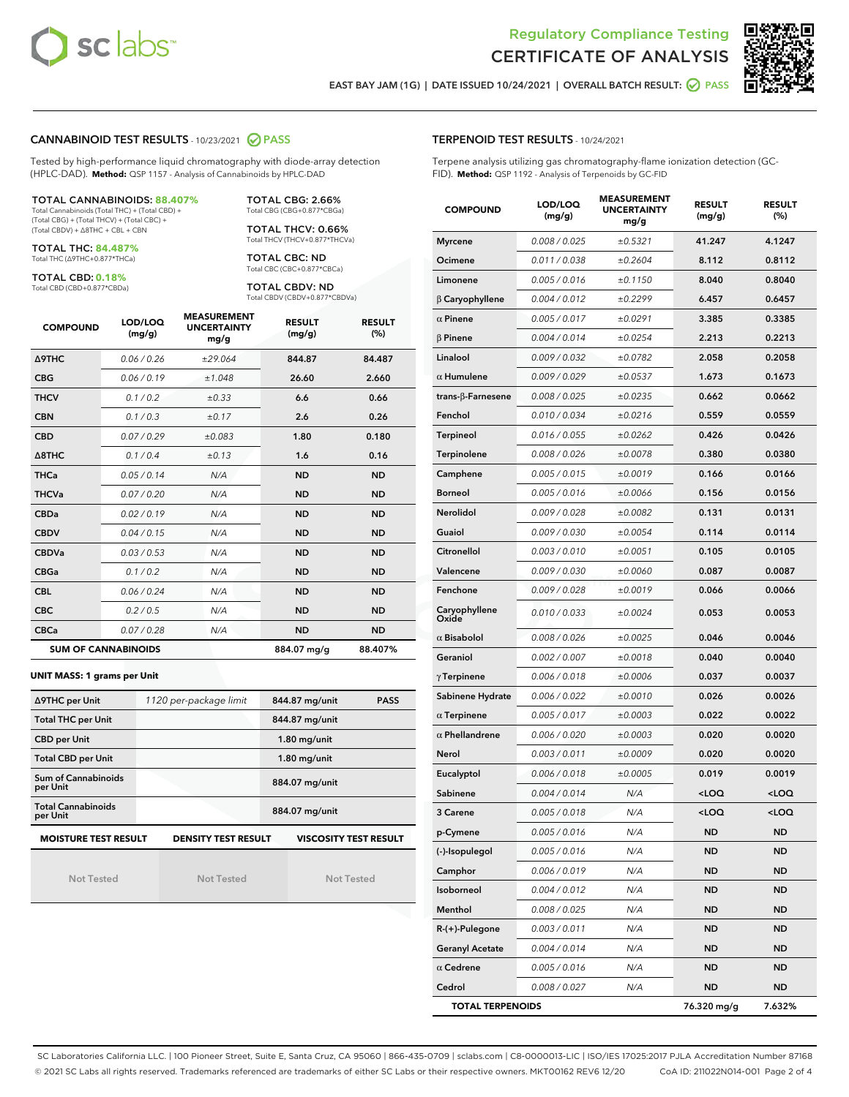



EAST BAY JAM (1G) | DATE ISSUED 10/24/2021 | OVERALL BATCH RESULT: **○** PASS

#### CANNABINOID TEST RESULTS - 10/23/2021 2 PASS

Tested by high-performance liquid chromatography with diode-array detection (HPLC-DAD). **Method:** QSP 1157 - Analysis of Cannabinoids by HPLC-DAD

#### TOTAL CANNABINOIDS: **88.407%**

Total Cannabinoids (Total THC) + (Total CBD) + (Total CBG) + (Total THCV) + (Total CBC) + (Total CBDV) + ∆8THC + CBL + CBN

TOTAL THC: **84.487%** Total THC (∆9THC+0.877\*THCa)

TOTAL CBD: **0.18%**

Total CBD (CBD+0.877\*CBDa)

TOTAL CBG: 2.66% Total CBG (CBG+0.877\*CBGa)

TOTAL THCV: 0.66% Total THCV (THCV+0.877\*THCVa)

TOTAL CBC: ND Total CBC (CBC+0.877\*CBCa)

TOTAL CBDV: ND Total CBDV (CBDV+0.877\*CBDVa)

| <b>COMPOUND</b>  | LOD/LOQ<br>(mg/g)          | <b>MEASUREMENT</b><br><b>UNCERTAINTY</b><br>mg/g | <b>RESULT</b><br>(mg/g) | <b>RESULT</b><br>(%) |
|------------------|----------------------------|--------------------------------------------------|-------------------------|----------------------|
| <b>A9THC</b>     | 0.06 / 0.26                | ±29.064                                          | 844.87                  | 84.487               |
| <b>CBG</b>       | 0.06/0.19                  | ±1.048                                           | 26.60                   | 2.660                |
| <b>THCV</b>      | 0.1/0.2                    | ±0.33                                            | 6.6                     | 0.66                 |
| <b>CBN</b>       | 0.1/0.3                    | ±0.17                                            | 2.6                     | 0.26                 |
| <b>CBD</b>       | 0.07/0.29                  | ±0.083                                           | 1.80                    | 0.180                |
| $\triangle$ 8THC | 0.1/0.4                    | ±0.13                                            | 1.6                     | 0.16                 |
| <b>THCa</b>      | 0.05/0.14                  | N/A                                              | <b>ND</b>               | <b>ND</b>            |
| <b>THCVa</b>     | 0.07/0.20                  | N/A                                              | <b>ND</b>               | <b>ND</b>            |
| <b>CBDa</b>      | 0.02/0.19                  | N/A                                              | <b>ND</b>               | <b>ND</b>            |
| <b>CBDV</b>      | 0.04 / 0.15                | N/A                                              | <b>ND</b>               | <b>ND</b>            |
| <b>CBDVa</b>     | 0.03/0.53                  | N/A                                              | <b>ND</b>               | <b>ND</b>            |
| <b>CBGa</b>      | 0.1/0.2                    | N/A                                              | <b>ND</b>               | <b>ND</b>            |
| <b>CBL</b>       | 0.06 / 0.24                | N/A                                              | <b>ND</b>               | <b>ND</b>            |
| <b>CBC</b>       | 0.2 / 0.5                  | N/A                                              | <b>ND</b>               | <b>ND</b>            |
| <b>CBCa</b>      | 0.07/0.28                  | N/A                                              | <b>ND</b>               | <b>ND</b>            |
|                  | <b>SUM OF CANNABINOIDS</b> |                                                  | 884.07 mg/g             | 88.407%              |

#### **UNIT MASS: 1 grams per Unit**

| ∆9THC per Unit                                                                            | 1120 per-package limit | 844.87 mg/unit<br><b>PASS</b> |  |  |  |
|-------------------------------------------------------------------------------------------|------------------------|-------------------------------|--|--|--|
| <b>Total THC per Unit</b>                                                                 |                        | 844.87 mg/unit                |  |  |  |
| <b>CBD per Unit</b>                                                                       |                        | $1.80$ mg/unit                |  |  |  |
| <b>Total CBD per Unit</b>                                                                 |                        | $1.80$ mg/unit                |  |  |  |
| Sum of Cannabinoids<br>per Unit                                                           |                        | 884.07 mg/unit                |  |  |  |
| <b>Total Cannabinoids</b><br>per Unit                                                     |                        | 884.07 mg/unit                |  |  |  |
| <b>MOISTURE TEST RESULT</b><br><b>DENSITY TEST RESULT</b><br><b>VISCOSITY TEST RESULT</b> |                        |                               |  |  |  |

Not Tested

Not Tested

Not Tested

#### TERPENOID TEST RESULTS - 10/24/2021

Terpene analysis utilizing gas chromatography-flame ionization detection (GC-FID). **Method:** QSP 1192 - Analysis of Terpenoids by GC-FID

| <b>COMPOUND</b>         | LOD/LOQ<br>(mg/g) | <b>MEASUREMENT</b><br><b>UNCERTAINTY</b><br>mg/g | <b>RESULT</b><br>(mg/g)                         | <b>RESULT</b><br>$(\%)$ |
|-------------------------|-------------------|--------------------------------------------------|-------------------------------------------------|-------------------------|
| <b>Myrcene</b>          | 0.008 / 0.025     | ±0.5321                                          | 41.247                                          | 4.1247                  |
| Ocimene                 | 0.011 / 0.038     | ±0.2604                                          | 8.112                                           | 0.8112                  |
| Limonene                | 0.005 / 0.016     | ±0.1150                                          | 8.040                                           | 0.8040                  |
| $\beta$ Caryophyllene   | 0.004 / 0.012     | ±0.2299                                          | 6.457                                           | 0.6457                  |
| $\alpha$ Pinene         | 0.005 / 0.017     | ±0.0291                                          | 3.385                                           | 0.3385                  |
| <b>B</b> Pinene         | 0.004 / 0.014     | ±0.0254                                          | 2.213                                           | 0.2213                  |
| Linalool                | 0.009 / 0.032     | ±0.0782                                          | 2.058                                           | 0.2058                  |
| $\alpha$ Humulene       | 0.009/0.029       | ±0.0537                                          | 1.673                                           | 0.1673                  |
| trans-β-Farnesene       | 0.008 / 0.025     | ±0.0235                                          | 0.662                                           | 0.0662                  |
| Fenchol                 | 0.010 / 0.034     | ±0.0216                                          | 0.559                                           | 0.0559                  |
| Terpineol               | 0.016 / 0.055     | ±0.0262                                          | 0.426                                           | 0.0426                  |
| Terpinolene             | 0.008 / 0.026     | ±0.0078                                          | 0.380                                           | 0.0380                  |
| Camphene                | 0.005 / 0.015     | ±0.0019                                          | 0.166                                           | 0.0166                  |
| <b>Borneol</b>          | 0.005 / 0.016     | ±0.0066                                          | 0.156                                           | 0.0156                  |
| Nerolidol               | 0.009 / 0.028     | ±0.0082                                          | 0.131                                           | 0.0131                  |
| Guaiol                  | 0.009 / 0.030     | ±0.0054                                          | 0.114                                           | 0.0114                  |
| Citronellol             | 0.003 / 0.010     | ±0.0051                                          | 0.105                                           | 0.0105                  |
| Valencene               | 0.009 / 0.030     | ±0.0060                                          | 0.087                                           | 0.0087                  |
| Fenchone                | 0.009 / 0.028     | ±0.0019                                          | 0.066                                           | 0.0066                  |
| Caryophyllene<br>Oxide  | 0.010 / 0.033     | ±0.0024                                          | 0.053                                           | 0.0053                  |
| $\alpha$ Bisabolol      | 0.008 / 0.026     | ±0.0025                                          | 0.046                                           | 0.0046                  |
| Geraniol                | 0.002 / 0.007     | ±0.0018                                          | 0.040                                           | 0.0040                  |
| $\gamma$ Terpinene      | 0.006 / 0.018     | ±0.0006                                          | 0.037                                           | 0.0037                  |
| Sabinene Hydrate        | 0.006 / 0.022     | ±0.0010                                          | 0.026                                           | 0.0026                  |
| $\alpha$ Terpinene      | 0.005 / 0.017     | ±0.0003                                          | 0.022                                           | 0.0022                  |
| $\alpha$ Phellandrene   | 0.006 / 0.020     | ±0.0003                                          | 0.020                                           | 0.0020                  |
| Nerol                   | 0.003 / 0.011     | ±0.0009                                          | 0.020                                           | 0.0020                  |
| Eucalyptol              | 0.006 / 0.018     | ±0.0005                                          | 0.019                                           | 0.0019                  |
| Sabinene                | 0.004 / 0.014     | N/A                                              | <loq< th=""><th><loq< th=""></loq<></th></loq<> | <loq< th=""></loq<>     |
| 3 Carene                | 0.005 / 0.018     | N/A                                              | <loq< th=""><th><loq< th=""></loq<></th></loq<> | <loq< th=""></loq<>     |
| p-Cymene                | 0.005 / 0.016     | N/A                                              | ND                                              | ND                      |
| (-)-Isopulegol          | 0.005 / 0.016     | N/A                                              | ND                                              | <b>ND</b>               |
| Camphor                 | 0.006 / 0.019     | N/A                                              | ND                                              | <b>ND</b>               |
| Isoborneol              | 0.004 / 0.012     | N/A                                              | ND                                              | ND                      |
| Menthol                 | 0.008 / 0.025     | N/A                                              | ND                                              | ND                      |
| R-(+)-Pulegone          | 0.003 / 0.011     | N/A                                              | ND                                              | ND                      |
| <b>Geranyl Acetate</b>  | 0.004 / 0.014     | N/A                                              | ND                                              | ND                      |
| $\alpha$ Cedrene        | 0.005 / 0.016     | N/A                                              | ND                                              | ND                      |
| Cedrol                  | 0.008 / 0.027     | N/A                                              | ND                                              | <b>ND</b>               |
| <b>TOTAL TERPENOIDS</b> |                   |                                                  | 76.320 mg/g                                     | 7.632%                  |

SC Laboratories California LLC. | 100 Pioneer Street, Suite E, Santa Cruz, CA 95060 | 866-435-0709 | sclabs.com | C8-0000013-LIC | ISO/IES 17025:2017 PJLA Accreditation Number 87168 © 2021 SC Labs all rights reserved. Trademarks referenced are trademarks of either SC Labs or their respective owners. MKT00162 REV6 12/20 CoA ID: 211022N014-001 Page 2 of 4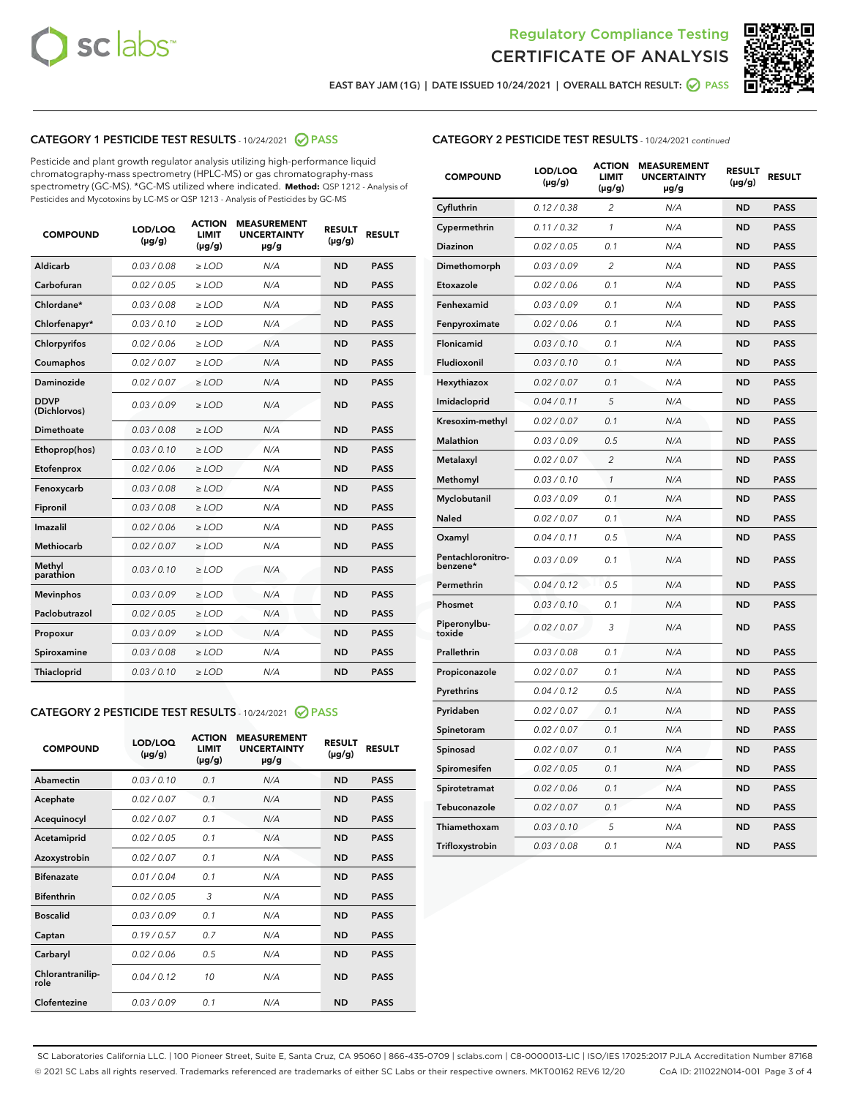



EAST BAY JAM (1G) | DATE ISSUED 10/24/2021 | OVERALL BATCH RESULT: 2 PASS

# CATEGORY 1 PESTICIDE TEST RESULTS - 10/24/2021 2 PASS

Pesticide and plant growth regulator analysis utilizing high-performance liquid chromatography-mass spectrometry (HPLC-MS) or gas chromatography-mass spectrometry (GC-MS). \*GC-MS utilized where indicated. **Method:** QSP 1212 - Analysis of Pesticides and Mycotoxins by LC-MS or QSP 1213 - Analysis of Pesticides by GC-MS

| <b>COMPOUND</b>             | LOD/LOQ<br>$(\mu g/g)$ | <b>ACTION</b><br><b>LIMIT</b><br>$(\mu g/g)$ | <b>MEASUREMENT</b><br><b>UNCERTAINTY</b><br>$\mu$ g/g | <b>RESULT</b><br>$(\mu g/g)$ | <b>RESULT</b> |
|-----------------------------|------------------------|----------------------------------------------|-------------------------------------------------------|------------------------------|---------------|
| Aldicarb                    | 0.03/0.08              | $\ge$ LOD                                    | N/A                                                   | <b>ND</b>                    | <b>PASS</b>   |
| Carbofuran                  | 0.02 / 0.05            | $\ge$ LOD                                    | N/A                                                   | <b>ND</b>                    | <b>PASS</b>   |
| Chlordane*                  | 0.03 / 0.08            | $\ge$ LOD                                    | N/A                                                   | <b>ND</b>                    | <b>PASS</b>   |
| Chlorfenapyr*               | 0.03/0.10              | $\ge$ LOD                                    | N/A                                                   | <b>ND</b>                    | <b>PASS</b>   |
| Chlorpyrifos                | 0.02 / 0.06            | $\ge$ LOD                                    | N/A                                                   | <b>ND</b>                    | <b>PASS</b>   |
| Coumaphos                   | 0.02 / 0.07            | $\ge$ LOD                                    | N/A                                                   | <b>ND</b>                    | <b>PASS</b>   |
| Daminozide                  | 0.02 / 0.07            | $\ge$ LOD                                    | N/A                                                   | <b>ND</b>                    | <b>PASS</b>   |
| <b>DDVP</b><br>(Dichlorvos) | 0.03/0.09              | $>$ LOD                                      | N/A                                                   | <b>ND</b>                    | <b>PASS</b>   |
| Dimethoate                  | 0.03/0.08              | $\ge$ LOD                                    | N/A                                                   | <b>ND</b>                    | <b>PASS</b>   |
| Ethoprop(hos)               | 0.03/0.10              | $\ge$ LOD                                    | N/A                                                   | <b>ND</b>                    | <b>PASS</b>   |
| Etofenprox                  | 0.02/0.06              | $>$ LOD                                      | N/A                                                   | <b>ND</b>                    | <b>PASS</b>   |
| Fenoxycarb                  | 0.03 / 0.08            | $\ge$ LOD                                    | N/A                                                   | <b>ND</b>                    | <b>PASS</b>   |
| Fipronil                    | 0.03/0.08              | $>$ LOD                                      | N/A                                                   | <b>ND</b>                    | <b>PASS</b>   |
| Imazalil                    | 0.02 / 0.06            | $\ge$ LOD                                    | N/A                                                   | <b>ND</b>                    | <b>PASS</b>   |
| Methiocarb                  | 0.02 / 0.07            | $\ge$ LOD                                    | N/A                                                   | <b>ND</b>                    | <b>PASS</b>   |
| Methyl<br>parathion         | 0.03/0.10              | $>$ LOD                                      | N/A                                                   | <b>ND</b>                    | <b>PASS</b>   |
| <b>Mevinphos</b>            | 0.03/0.09              | $>$ LOD                                      | N/A                                                   | <b>ND</b>                    | <b>PASS</b>   |
| Paclobutrazol               | 0.02 / 0.05            | $\ge$ LOD                                    | N/A                                                   | <b>ND</b>                    | <b>PASS</b>   |
| Propoxur                    | 0.03/0.09              | $\ge$ LOD                                    | N/A                                                   | <b>ND</b>                    | <b>PASS</b>   |
| Spiroxamine                 | 0.03/0.08              | $\ge$ LOD                                    | N/A                                                   | <b>ND</b>                    | <b>PASS</b>   |
| Thiacloprid                 | 0.03/0.10              | $\ge$ LOD                                    | N/A                                                   | <b>ND</b>                    | <b>PASS</b>   |

#### CATEGORY 2 PESTICIDE TEST RESULTS - 10/24/2021 @ PASS

| <b>COMPOUND</b>          | LOD/LOO<br>$(\mu g/g)$ | <b>ACTION</b><br>LIMIT<br>$(\mu g/g)$ | <b>MEASUREMENT</b><br><b>UNCERTAINTY</b><br>µg/g | <b>RESULT</b><br>$(\mu g/g)$ | <b>RESULT</b> |  |
|--------------------------|------------------------|---------------------------------------|--------------------------------------------------|------------------------------|---------------|--|
| Abamectin                | 0.03/0.10              | 0.1                                   | N/A                                              | <b>ND</b>                    | <b>PASS</b>   |  |
| Acephate                 | 0.02/0.07              | 0.1                                   | N/A                                              | <b>ND</b>                    | <b>PASS</b>   |  |
| Acequinocyl              | 0.02/0.07              | 0.1                                   | N/A                                              | <b>ND</b>                    | <b>PASS</b>   |  |
| Acetamiprid              | 0.02 / 0.05            | 0.1                                   | N/A                                              | <b>ND</b>                    | <b>PASS</b>   |  |
| Azoxystrobin             | 0.02/0.07              | 0.1                                   | N/A                                              | <b>ND</b>                    | <b>PASS</b>   |  |
| <b>Bifenazate</b>        | 0.01 / 0.04            | 0.1                                   | N/A                                              | <b>ND</b>                    | <b>PASS</b>   |  |
| <b>Bifenthrin</b>        | 0.02 / 0.05            | 3                                     | N/A                                              | <b>ND</b>                    | <b>PASS</b>   |  |
| <b>Boscalid</b>          | 0.03/0.09              | 0.1                                   | N/A                                              | <b>ND</b>                    | <b>PASS</b>   |  |
| Captan                   | 0.19/0.57              | 0.7                                   | N/A                                              | <b>ND</b>                    | <b>PASS</b>   |  |
| Carbaryl                 | 0.02/0.06              | 0.5                                   | N/A                                              | <b>ND</b>                    | <b>PASS</b>   |  |
| Chlorantranilip-<br>role | 0.04/0.12              | 10                                    | N/A                                              | <b>ND</b>                    | <b>PASS</b>   |  |
| Clofentezine             | 0.03/0.09              | 0.1                                   | N/A                                              | <b>ND</b>                    | <b>PASS</b>   |  |

### CATEGORY 2 PESTICIDE TEST RESULTS - 10/24/2021 continued

| <b>COMPOUND</b>               | LOD/LOQ<br>(µg/g) | <b>ACTION</b><br><b>LIMIT</b><br>$(\mu g/g)$ | <b>MEASUREMENT</b><br><b>UNCERTAINTY</b><br>µg/g | <b>RESULT</b><br>(µg/g) | <b>RESULT</b> |
|-------------------------------|-------------------|----------------------------------------------|--------------------------------------------------|-------------------------|---------------|
| Cyfluthrin                    | 0.12 / 0.38       | $\overline{c}$                               | N/A                                              | <b>ND</b>               | <b>PASS</b>   |
| Cypermethrin                  | 0.11 / 0.32       | 1                                            | N/A                                              | ND                      | <b>PASS</b>   |
| Diazinon                      | 0.02 / 0.05       | 0.1                                          | N/A                                              | ND                      | <b>PASS</b>   |
| Dimethomorph                  | 0.03 / 0.09       | 2                                            | N/A                                              | ND                      | <b>PASS</b>   |
| Etoxazole                     | 0.02 / 0.06       | 0.1                                          | N/A                                              | <b>ND</b>               | <b>PASS</b>   |
| Fenhexamid                    | 0.03 / 0.09       | 0.1                                          | N/A                                              | <b>ND</b>               | <b>PASS</b>   |
| Fenpyroximate                 | 0.02 / 0.06       | 0.1                                          | N/A                                              | ND                      | <b>PASS</b>   |
| Flonicamid                    | 0.03 / 0.10       | 0.1                                          | N/A                                              | ND                      | <b>PASS</b>   |
| Fludioxonil                   | 0.03 / 0.10       | 0.1                                          | N/A                                              | <b>ND</b>               | <b>PASS</b>   |
| Hexythiazox                   | 0.02 / 0.07       | 0.1                                          | N/A                                              | ND                      | <b>PASS</b>   |
| Imidacloprid                  | 0.04 / 0.11       | 5                                            | N/A                                              | ND                      | <b>PASS</b>   |
| Kresoxim-methyl               | 0.02 / 0.07       | 0.1                                          | N/A                                              | <b>ND</b>               | <b>PASS</b>   |
| <b>Malathion</b>              | 0.03 / 0.09       | 0.5                                          | N/A                                              | ND                      | <b>PASS</b>   |
| Metalaxyl                     | 0.02 / 0.07       | $\overline{c}$                               | N/A                                              | ND                      | <b>PASS</b>   |
| Methomyl                      | 0.03 / 0.10       | 1                                            | N/A                                              | <b>ND</b>               | <b>PASS</b>   |
| Myclobutanil                  | 0.03 / 0.09       | 0.1                                          | N/A                                              | ND                      | <b>PASS</b>   |
| Naled                         | 0.02 / 0.07       | 0.1                                          | N/A                                              | ND                      | <b>PASS</b>   |
| Oxamyl                        | 0.04 / 0.11       | 0.5                                          | N/A                                              | ND                      | <b>PASS</b>   |
| Pentachloronitro-<br>benzene* | 0.03 / 0.09       | 0.1                                          | N/A                                              | ND                      | <b>PASS</b>   |
| Permethrin                    | 0.04 / 0.12       | 0.5                                          | N/A                                              | <b>ND</b>               | <b>PASS</b>   |
| Phosmet                       | 0.03 / 0.10       | 0.1                                          | N/A                                              | <b>ND</b>               | <b>PASS</b>   |
| Piperonylbu-<br>toxide        | 0.02 / 0.07       | 3                                            | N/A                                              | ND                      | <b>PASS</b>   |
| Prallethrin                   | 0.03 / 0.08       | 0.1                                          | N/A                                              | <b>ND</b>               | <b>PASS</b>   |
| Propiconazole                 | 0.02 / 0.07       | 0.1                                          | N/A                                              | ND                      | <b>PASS</b>   |
| Pyrethrins                    | 0.04 / 0.12       | 0.5                                          | N/A                                              | ND                      | <b>PASS</b>   |
| Pyridaben                     | 0.02 / 0.07       | 0.1                                          | N/A                                              | ND                      | <b>PASS</b>   |
| Spinetoram                    | 0.02 / 0.07       | 0.1                                          | N/A                                              | ND                      | <b>PASS</b>   |
| Spinosad                      | 0.02 / 0.07       | 0.1                                          | N/A                                              | ND                      | <b>PASS</b>   |
| Spiromesifen                  | 0.02 / 0.05       | 0.1                                          | N/A                                              | <b>ND</b>               | <b>PASS</b>   |
| Spirotetramat                 | 0.02 / 0.06       | 0.1                                          | N/A                                              | ND                      | <b>PASS</b>   |
| Tebuconazole                  | 0.02 / 0.07       | 0.1                                          | N/A                                              | ND                      | <b>PASS</b>   |
| Thiamethoxam                  | 0.03 / 0.10       | 5                                            | N/A                                              | <b>ND</b>               | <b>PASS</b>   |
| Trifloxystrobin               | 0.03 / 0.08       | 0.1                                          | N/A                                              | <b>ND</b>               | <b>PASS</b>   |

SC Laboratories California LLC. | 100 Pioneer Street, Suite E, Santa Cruz, CA 95060 | 866-435-0709 | sclabs.com | C8-0000013-LIC | ISO/IES 17025:2017 PJLA Accreditation Number 87168 © 2021 SC Labs all rights reserved. Trademarks referenced are trademarks of either SC Labs or their respective owners. MKT00162 REV6 12/20 CoA ID: 211022N014-001 Page 3 of 4